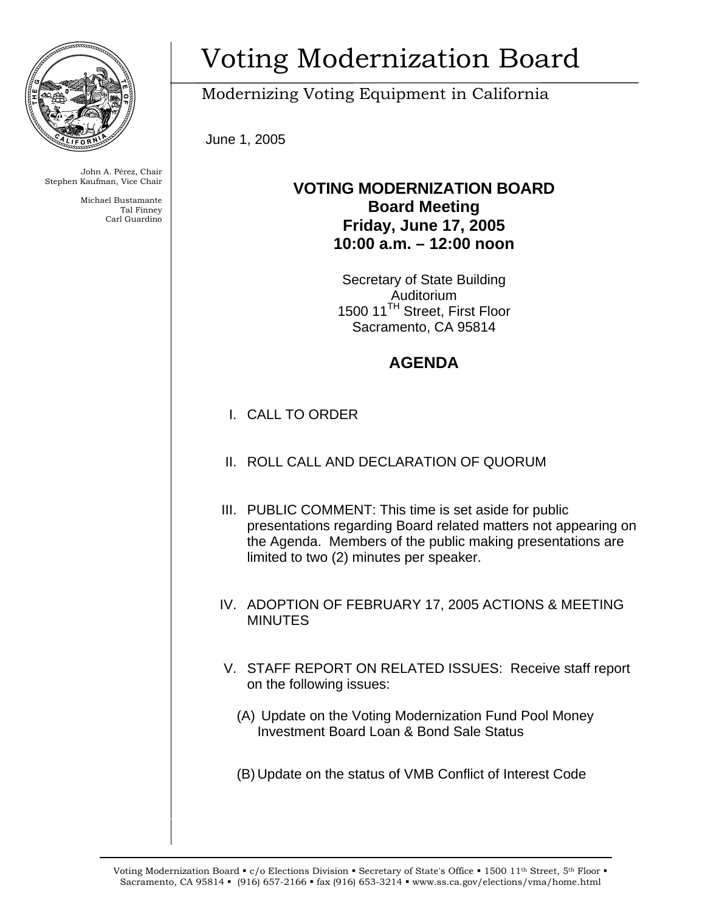

John A. Pérez, Chair Stephen Kaufman, Vice Chair

> Michael Bustamante Tal Finney Carl Guardino

## Voting Modernization Board

Modernizing Voting Equipment in California

June 1, 2005

## **VOTING MODERNIZATION BOARD Board Meeting Friday, June 17, 2005 10:00 a.m. – 12:00 noon**

Secretary of State Building Auditorium 1500 11<sup>TH</sup> Street, First Floor Sacramento, CA 95814

## **AGENDA**

- I. CALL TO ORDER
- II. ROLL CALL AND DECLARATION OF QUORUM
- III. PUBLIC COMMENT: This time is set aside for public presentations regarding Board related matters not appearing on the Agenda. Members of the public making presentations are limited to two (2) minutes per speaker.
- IV. ADOPTION OF FEBRUARY 17, 2005 ACTIONS & MEETING MINUTES
- V. STAFF REPORT ON RELATED ISSUES: Receive staff report on the following issues:
	- (A) Update on the Voting Modernization Fund Pool Money Investment Board Loan & Bond Sale Status
	- (B) Update on the status of VMB Conflict of Interest Code